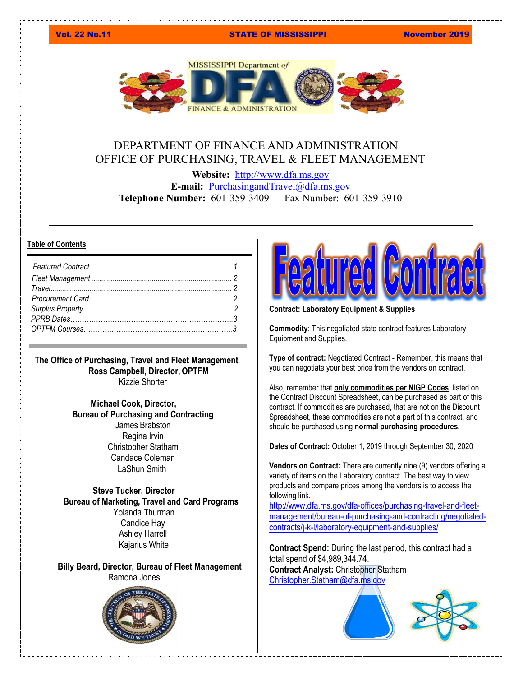### Vol. 22 No.11 STATE OF MISSISSIPPI November 2019



# DEPARTMENT OF FINANCE AND ADMINISTRATION OFFICE OF PURCHASING, TRAVEL & FLEET MANAGEMENT

**Website:** [http://www.dfa.ms.gov](http://www.dfa.ms.gov/) **E-mail:** [PurchasingandTravel@dfa.ms.gov](mailto:PurchasingandTravel@dfa.ms.gov) **Telephone Number:** 601-359-3409 Fax Number: 601-359-3910

## **Table of Contents**

**The Office of Purchasing, Travel and Fleet Management Ross Campbell, Director, OPTFM** Kizzie Shorter

> **Michael Cook, Director, Bureau of Purchasing and Contracting** James Brabston Regina Irvin Christopher Statham Candace Coleman LaShun Smith

 **Steve Tucker, Director Bureau of Marketing, Travel and Card Programs** Yolanda Thurman Candice Hay Ashley Harrell Kajarius White

**Billy Beard, Director, Bureau of Fleet Management** Ramona Jones





**Contract: Laboratory Equipment & Supplies**

**Commodity**: This negotiated state contract features Laboratory Equipment and Supplies.

**Type of contract:** Negotiated Contract - Remember, this means that you can negotiate your best price from the vendors on contract.

Also, remember that **only commodities per NIGP Codes**, listed on the Contract Discount Spreadsheet, can be purchased as part of this contract. If commodities are purchased, that are not on the Discount Spreadsheet, these commodities are not a part of this contract, and should be purchased using **normal purchasing procedures.**

**Dates of Contract:** October 1, 2019 through September 30, 2020

**Vendors on Contract:** There are currently nine (9) vendors offering a variety of items on the Laboratory contract. The best way to view products and compare prices among the vendors is to access the following link.

[http://www.dfa.ms.gov/dfa-offices/purchasing-travel-and-fleet](http://www.dfa.ms.gov/dfa-offices/purchasing-travel-and-fleet-management/bureau-of-purchasing-and-contracting/negotiated-contracts/j-k-l/laboratory-equipment-and-supplies/)[management/bureau-of-purchasing-and-contracting/negotiated](http://www.dfa.ms.gov/dfa-offices/purchasing-travel-and-fleet-management/bureau-of-purchasing-and-contracting/negotiated-contracts/j-k-l/laboratory-equipment-and-supplies/)[contracts/j-k-l/laboratory-equipment-and-supplies/](http://www.dfa.ms.gov/dfa-offices/purchasing-travel-and-fleet-management/bureau-of-purchasing-and-contracting/negotiated-contracts/j-k-l/laboratory-equipment-and-supplies/)

**Contract Spend:** During the last period, this contract had a total spend of \$4,989,344.74. **Contract Analyst:** C[hristopher Stath](https://www.google.com/imgres?imgurl=https%3A%2F%2Fwebstockreview.net%2Fimages%2Flab-clipart-lab-supply-17.png&imgrefurl=https%3A%2F%2Fwebstockreview.net%2Fexplore%2Flab-clipart-lab-supply%2F&docid=Yntq-qC70HJ5SM&tbnid=1QRDqLft_N7cnM%3A&vet=10ahUKEwipgKrKuKHlAhWypFkKHcS-Ac4QMwh2KBQwFA..i&w=782&h=1000&itg=1&bih=538&biw=1184&q=blue%20lab%20equipment%20and%20supplies%20clipart&ved=0ahUKEwipgKrKuKHlAhWypFkKHcS-Ac4QMwh2KBQwFA&iact=mrc&uact=8)am [Christopher.Statham@dfa.ms.gov](mailto:Christopher.Statham@dfa.ms.gov)



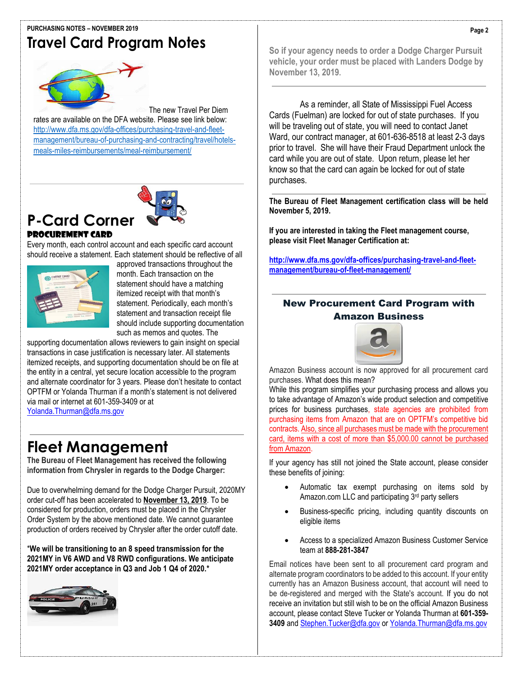### **PURCHASING NOTES – NOVEMBER 2019**

# **Travel Card Program Notes**



The new Travel Per Diem rates are available on the DFA website. Please see link below: [http://www.dfa.ms.gov/dfa-offices/purchasing-travel-and-fleet](http://www.dfa.ms.gov/dfa-offices/purchasing-travel-and-fleet-management/bureau-of-purchasing-and-contracting/travel/hotels-meals-miles-reimbursements/meal-reimbursement/)[management/bureau-of-purchasing-and-contracting/travel/hotels](http://www.dfa.ms.gov/dfa-offices/purchasing-travel-and-fleet-management/bureau-of-purchasing-and-contracting/travel/hotels-meals-miles-reimbursements/meal-reimbursement/)[meals-miles-reimbursements/meal-reimbursement/](http://www.dfa.ms.gov/dfa-offices/purchasing-travel-and-fleet-management/bureau-of-purchasing-and-contracting/travel/hotels-meals-miles-reimbursements/meal-reimbursement/)



# **[P-Card Corner](http://www.dfa.ms.gov/dfa-offices/purchasing-travel-and-fleet-management/bureau-of-fleet-management/)** Procurement Card

Every month, each control account and each specific card account should receive a statement. Each statement should be reflective of all



approved transactions throughout the month. Each transaction on the statement should have a matching itemized receipt with that month's statement. Periodically, each month's statement and transaction receipt file should include supporting documentation such as memos and quotes. The

supporting documentation allows reviewers to gain insight on special transactions in case justification is necessary later. All statements itemized receipts, and supporting documentation should be on file at the entity in a central, yet secure location accessible to the program and alternate coordinator for 3 years. Please don't hesitate to contact OPTFM or Yolanda Thurman if a month's statement is not delivered via mail or internet at 601-359-3409 or at [Yolanda.Thurman@dfa.ms.gov](mailto:Yolanda.Thurman@dfa.ms.gov)

**Fleet Management**

**The Bureau of Fleet Management has received the following information from Chrysler in regards to the Dodge Charger:** 

Due to overwhelming demand for the Dodge Charger Pursuit, 2020MY order cut-off has been accelerated to **November 13, 2019**. To be considered for production, orders must be placed in the Chrysler Order System by the above mentioned date. We cannot guarantee production of orders received by Chrysler after the order cutoff date.

\***We will be transitioning to an 8 speed transmission for the 2021MY in V6 AWD and V8 RWD configurations. We anticipate 2021MY order acceptance in Q3 and Job 1 Q4 of 2020.\***



**So if your agency needs to order a Dodge Charger Pursuit vehicle, your order must be placed with Landers Dodge by November 13, 2019.** 

As a reminder, all State of Mississippi Fuel Access Cards (Fuelman) are locked for out of state purchases. If you will be traveling out of state, you will need to contact Janet Ward, our contract manager, at 601-636-8518 at least 2-3 days prior to travel. She will have their Fraud Department unlock the card while you are out of state. Upon return, please let her know so that the card can again be locked for out of state purchases.

**The Bureau of Fleet Management certification class will be held November 5, 2019.**

**If you are interested in taking the Fleet management course, please visit Fleet Manager Certification at:**

**[http://www.dfa.ms.gov/dfa-offices/purchasing-travel-and-fleet](http://www.dfa.ms.gov/dfa-offices/purchasing-travel-and-fleet-%20management/bureau-of-fleet-management/)[management/bureau-of-fleet-management/](http://www.dfa.ms.gov/dfa-offices/purchasing-travel-and-fleet-%20management/bureau-of-fleet-management/)**

# New Procurement Card Program with Amazon Business



Amazon Business account is now approved for all procurement card purchases. What does this mean?

While this program simplifies your purchasing process and allows you to take advantage of Amazon's wide product selection and competitive prices for business purchases, state agencies are prohibited from purchasing items from Amazon that are on OPTFM's competitive bid contracts. Also, since all purchases must be made with the procurement card, items with a cost of more than \$5,000.00 cannot be purchased from Amazon.

If your agency has still not joined the State account, please consider these benefits of joining:

- Automatic tax exempt purchasing on items sold by Amazon.com LLC and participating 3rd party sellers
- Business-specific pricing, including quantity discounts on eligible items
- Access to a specialized Amazon Business Customer Service team at **888-281-3847**

Email notices have been sent to all procurement card program and alternate program coordinators to be added to this account. If your entity currently has an Amazon Business account, that account will need to be de-registered and merged with the State's account. If you do not receive an invitation but still wish to be on the official Amazon Business account, please contact Steve Tucker or Yolanda Thurman at **601-359- 3409** an[d Stephen.Tucker@dfa.gov](mailto:Stephen.Tucker@dfa.gov) o[r Yolanda.Thurman@dfa.ms.gov](mailto:Yolanda.Thurman@dfa.ms.gov)